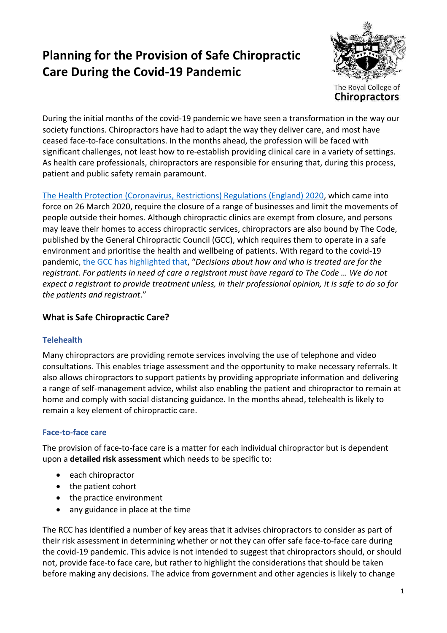# **Planning for the Provision of Safe Chiropractic Care During the Covid-19 Pandemic**



During the initial months of the covid-19 pandemic we have seen a transformation in the way our society functions. Chiropractors have had to adapt the way they deliver care, and most have ceased face-to-face consultations. In the months ahead, the profession will be faced with significant challenges, not least how to re-establish providing clinical care in a variety of settings. As health care professionals, chiropractors are responsible for ensuring that, during this process, patient and public safety remain paramount.

[The Health Protection \(Coronavirus, Restrictions\) Regulations \(England\) 2020,](http://www.legislation.gov.uk/uksi/2020/350/made) which came into force on 26 March 2020, require the closure of a range of businesses and limit the movements of people outside their homes. Although chiropractic clinics are exempt from closure, and persons may leave their homes to access chiropractic services, chiropractors are also bound by The Code, published by the General Chiropractic Council (GCC), which requires them to operate in a safe environment and prioritise the health and wellbeing of patients. With regard to the covid-19 pandemic, the GCC [has highlighted that](https://www.gcc-uk.org/news/entry/covid-19-advice-24-march-2020), "*Decisions about how and who is treated are for the registrant. For patients in need of care a registrant must have regard to The Code … We do not expect a registrant to provide treatment unless, in their professional opinion, it is safe to do so for the patients and registrant*."

# **What is Safe Chiropractic Care?**

# **Telehealth**

Many chiropractors are providing remote services involving the use of telephone and video consultations. This enables triage assessment and the opportunity to make necessary referrals. It also allows chiropractors to support patients by providing appropriate information and delivering a range of self-management advice, whilst also enabling the patient and chiropractor to remain at home and comply with social distancing guidance. In the months ahead, telehealth is likely to remain a key element of chiropractic care.

# **Face-to-face care**

The provision of face-to-face care is a matter for each individual chiropractor but is dependent upon a **detailed risk assessment** which needs to be specific to:

- each chiropractor
- the patient cohort
- the practice environment
- any guidance in place at the time

The RCC has identified a number of key areas that it advises chiropractors to consider as part of their risk assessment in determining whether or not they can offer safe face-to-face care during the covid-19 pandemic. This advice is not intended to suggest that chiropractors should, or should not, provide face-to face care, but rather to highlight the considerations that should be taken before making any decisions. The advice from government and other agencies is likely to change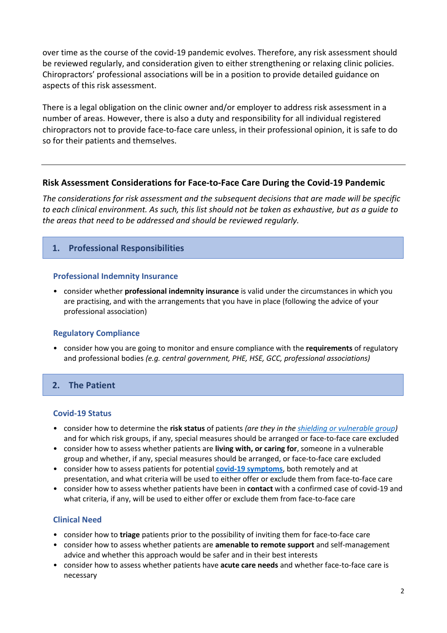over time as the course of the covid-19 pandemic evolves. Therefore, any risk assessment should be reviewed regularly, and consideration given to either strengthening or relaxing clinic policies. Chiropractors' professional associations will be in a position to provide detailed guidance on aspects of this risk assessment.

There is a legal obligation on the clinic owner and/or employer to address risk assessment in a number of areas. However, there is also a duty and responsibility for all individual registered chiropractors not to provide face-to-face care unless, in their professional opinion, it is safe to do so for their patients and themselves.

# **Risk Assessment Considerations for Face-to-Face Care During the Covid-19 Pandemic**

*The considerations for risk assessment and the subsequent decisions that are made will be specific to each clinical environment. As such, this list should not be taken as exhaustive, but as a guide to the areas that need to be addressed and should be reviewed regularly.*

# **1. Professional Responsibilities**

## **Professional Indemnity Insurance**

• consider whether **professional indemnity insurance** is valid under the circumstances in which you are practising, and with the arrangements that you have in place (following the advice of your professional association)

#### **Regulatory Compliance**

• consider how you are going to monitor and ensure compliance with the **requirements** of regulatory and professional bodies *(e.g. central government, PHE, HSE, GCC, professional associations)*

# **2. The Patient**

#### **Covid-19 Status**

- consider how to determine the **risk status** of patients *(are they in the [shielding or vulnerable group\)](https://www.gov.uk/government/publications/guidance-on-shielding-and-protecting-extremely-vulnerable-persons-from-covid-19/guidance-on-shielding-and-protecting-extremely-vulnerable-persons-from-covid-19)* and for which risk groups, if any, special measures should be arranged or face-to-face care excluded
- consider how to assess whether patients are **living with, or caring for**, someone in a vulnerable group and whether, if any, special measures should be arranged, or face-to-face care excluded
- consider how to assess patients for potential **[covid-19 symptoms](https://www.nhs.uk/conditions/coronavirus-covid-19/check-if-you-have-coronavirus-symptoms/)**, both remotely and at presentation, and what criteria will be used to either offer or exclude them from face-to-face care
- consider how to assess whether patients have been in **contact** with a confirmed case of covid-19 and what criteria, if any, will be used to either offer or exclude them from face-to-face care

# **Clinical Need**

- consider how to **triage** patients prior to the possibility of inviting them for face-to-face care
- consider how to assess whether patients are **amenable to remote support** and self-management advice and whether this approach would be safer and in their best interests
- consider how to assess whether patients have **acute care needs** and whether face-to-face care is necessary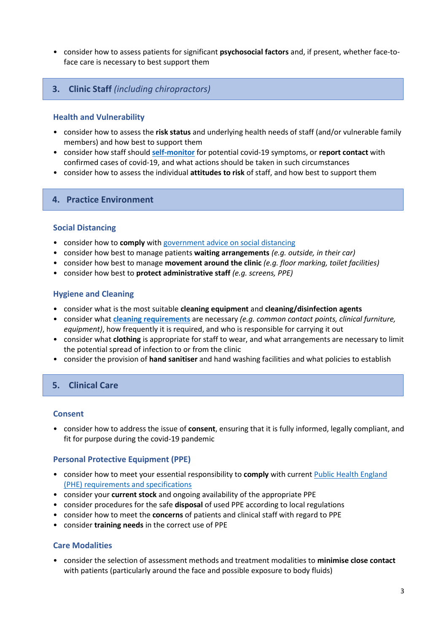• consider how to assess patients for significant **psychosocial factors** and, if present, whether face-toface care is necessary to best support them

#### **3. Clinic Staff** *(including chiropractors)*

#### **Health and Vulnerability**

- consider how to assess the **risk status** and underlying health needs of staff (and/or vulnerable family members) and how best to support them
- consider how staff should **[self-monitor](https://www.nhs.uk/conditions/coronavirus-covid-19/check-if-you-have-coronavirus-symptoms/)** for potential covid-19 symptoms, or **report contact** with confirmed cases of covid-19, and what actions should be taken in such circumstances
- consider how to assess the individual **attitudes to risk** of staff, and how best to support them

#### **4. Practice Environment**

#### **Social Distancing**

- consider how to **comply** wit[h government advice on social distancing](https://www.gov.uk/government/publications/covid-19-guidance-on-social-distancing-and-for-vulnerable-people/guidance-on-social-distancing-for-everyone-in-the-uk-and-protecting-older-people-and-vulnerable-adults)
- consider how best to manage patients **waiting arrangements** *(e.g. outside, in their car)*
- consider how best to manage **movement around the clinic** *(e.g. floor marking, toilet facilities)*
- consider how best to **protect administrative staff** *(e.g. screens, PPE)*

#### **Hygiene and Cleaning**

- consider what is the most suitable **cleaning equipment** and **cleaning/disinfection agents**
- consider what **[cleaning requirements](https://www.gov.uk/government/publications/wn-cov-guidance-for-primary-care/wn-cov-interim-guidance-for-primary-care#environmental-cleaning-following-a-possible-case)** are necessary *(e.g. common contact points, clinical furniture, equipment)*, how frequently it is required, and who is responsible for carrying it out
- consider what **clothing** is appropriate for staff to wear, and what arrangements are necessary to limit the potential spread of infection to or from the clinic
- consider the provision of **hand sanitiser** and hand washing facilities and what policies to establish

#### **5. Clinical Care**

#### **Consent**

• consider how to address the issue of **consent**, ensuring that it is fully informed, legally compliant, and fit for purpose during the covid-19 pandemic

#### **Personal Protective Equipment (PPE)**

- consider how to meet your essential responsibility to **comply** with current [Public Health England](https://assets.publishing.service.gov.uk/government/uploads/system/uploads/attachment_data/file/879111/T4_poster_Recommended_PPE_additional_considerations_of_COVID-19.pdf)  [\(PHE\) requirements and specifications](https://assets.publishing.service.gov.uk/government/uploads/system/uploads/attachment_data/file/879111/T4_poster_Recommended_PPE_additional_considerations_of_COVID-19.pdf)
- consider your **current stock** and ongoing availability of the appropriate PPE
- consider procedures for the safe **disposal** of used PPE according to local regulations
- consider how to meet the **concerns** of patients and clinical staff with regard to PPE
- consider **training needs** in the correct use of PPE

#### **Care Modalities**

• consider the selection of assessment methods and treatment modalities to **minimise close contact** with patients (particularly around the face and possible exposure to body fluids)